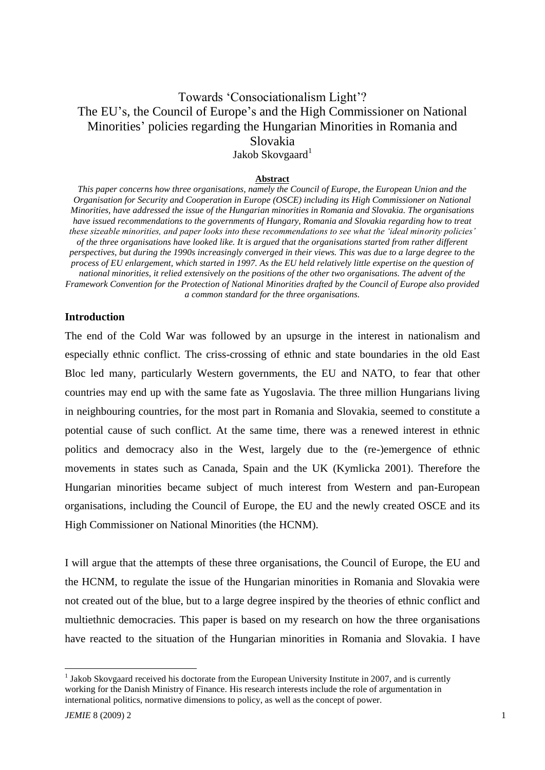# Towards "Consociationalism Light"? The EU's, the Council of Europe's and the High Commissioner on National Minorities" policies regarding the Hungarian Minorities in Romania and Slovakia Jakob Skovgaard<sup>1</sup>

#### **Abstract**

*This paper concerns how three organisations, namely the Council of Europe, the European Union and the Organisation for Security and Cooperation in Europe (OSCE) including its High Commissioner on National Minorities, have addressed the issue of the Hungarian minorities in Romania and Slovakia. The organisations have issued recommendations to the governments of Hungary, Romania and Slovakia regarding how to treat these sizeable minorities, and paper looks into these recommendations to see what the 'ideal minority policies' of the three organisations have looked like. It is argued that the organisations started from rather different perspectives, but during the 1990s increasingly converged in their views. This was due to a large degree to the process of EU enlargement, which started in 1997. As the EU held relatively little expertise on the question of national minorities, it relied extensively on the positions of the other two organisations. The advent of the Framework Convention for the Protection of National Minorities drafted by the Council of Europe also provided a common standard for the three organisations.* 

## **Introduction**

The end of the Cold War was followed by an upsurge in the interest in nationalism and especially ethnic conflict. The criss-crossing of ethnic and state boundaries in the old East Bloc led many, particularly Western governments, the EU and NATO, to fear that other countries may end up with the same fate as Yugoslavia. The three million Hungarians living in neighbouring countries, for the most part in Romania and Slovakia, seemed to constitute a potential cause of such conflict. At the same time, there was a renewed interest in ethnic politics and democracy also in the West, largely due to the (re-)emergence of ethnic movements in states such as Canada, Spain and the UK (Kymlicka 2001). Therefore the Hungarian minorities became subject of much interest from Western and pan-European organisations, including the Council of Europe, the EU and the newly created OSCE and its High Commissioner on National Minorities (the HCNM).

I will argue that the attempts of these three organisations, the Council of Europe, the EU and the HCNM, to regulate the issue of the Hungarian minorities in Romania and Slovakia were not created out of the blue, but to a large degree inspired by the theories of ethnic conflict and multiethnic democracies. This paper is based on my research on how the three organisations have reacted to the situation of the Hungarian minorities in Romania and Slovakia. I have

<sup>&</sup>lt;sup>1</sup> Jakob Skovgaard received his doctorate from the European University Institute in 2007, and is currently working for the Danish Ministry of Finance. His research interests include the role of argumentation in international politics, normative dimensions to policy, as well as the concept of power.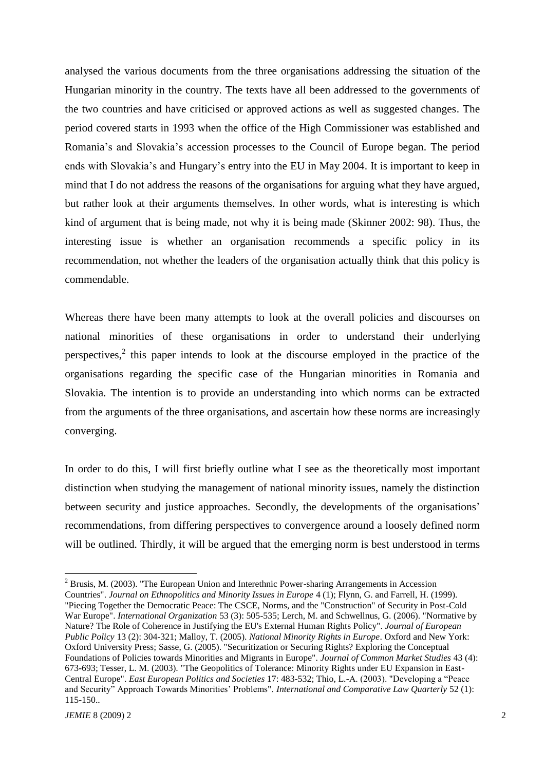analysed the various documents from the three organisations addressing the situation of the Hungarian minority in the country. The texts have all been addressed to the governments of the two countries and have criticised or approved actions as well as suggested changes. The period covered starts in 1993 when the office of the High Commissioner was established and Romania's and Slovakia's accession processes to the Council of Europe began. The period ends with Slovakia"s and Hungary"s entry into the EU in May 2004. It is important to keep in mind that I do not address the reasons of the organisations for arguing what they have argued, but rather look at their arguments themselves. In other words, what is interesting is which kind of argument that is being made, not why it is being made (Skinner 2002: 98). Thus, the interesting issue is whether an organisation recommends a specific policy in its recommendation, not whether the leaders of the organisation actually think that this policy is commendable.

Whereas there have been many attempts to look at the overall policies and discourses on national minorities of these organisations in order to understand their underlying perspectives,<sup>2</sup> this paper intends to look at the discourse employed in the practice of the organisations regarding the specific case of the Hungarian minorities in Romania and Slovakia. The intention is to provide an understanding into which norms can be extracted from the arguments of the three organisations, and ascertain how these norms are increasingly converging.

In order to do this, I will first briefly outline what I see as the theoretically most important distinction when studying the management of national minority issues, namely the distinction between security and justice approaches. Secondly, the developments of the organisations' recommendations, from differing perspectives to convergence around a loosely defined norm will be outlined. Thirdly, it will be argued that the emerging norm is best understood in terms

<sup>2</sup> Brusis, M. (2003). "The European Union and Interethnic Power-sharing Arrangements in Accession Countries". *Journal on Ethnopolitics and Minority Issues in Europe* 4 (1); Flynn, G. and Farrell, H. (1999).

<sup>&</sup>quot;Piecing Together the Democratic Peace: The CSCE, Norms, and the "Construction" of Security in Post-Cold War Europe". *International Organization* 53 (3): 505-535; Lerch, M. and Schwellnus, G. (2006). "Normative by Nature? The Role of Coherence in Justifying the EU's External Human Rights Policy". *Journal of European Public Policy* 13 (2): 304-321; Malloy, T. (2005). *National Minority Rights in Europe*. Oxford and New York: Oxford University Press; Sasse, G. (2005). "Securitization or Securing Rights? Exploring the Conceptual Foundations of Policies towards Minorities and Migrants in Europe". *Journal of Common Market Studies* 43 (4): 673-693; Tesser, L. M. (2003). "The Geopolitics of Tolerance: Minority Rights under EU Expansion in East-Central Europe". *East European Politics and Societies* 17: 483-532; Thio, L.-A. (2003). "Developing a "Peace and Security" Approach Towards Minorities" Problems". *International and Comparative Law Quarterly* 52 (1): 115-150..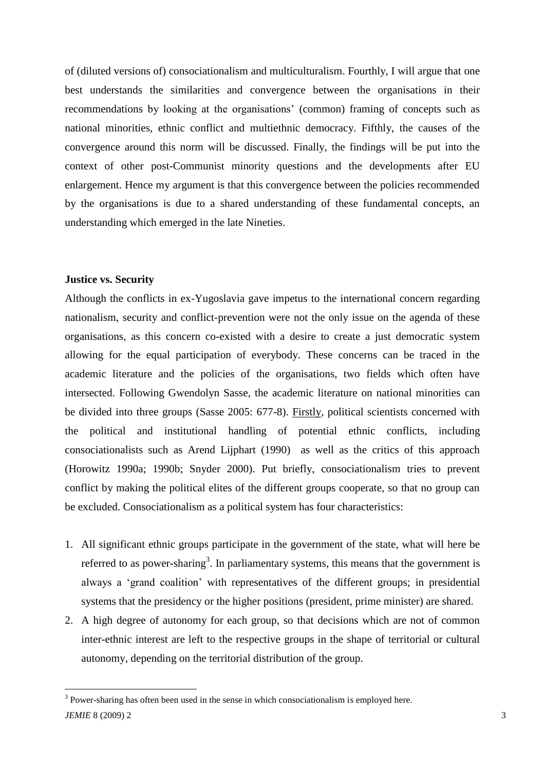of (diluted versions of) consociationalism and multiculturalism. Fourthly, I will argue that one best understands the similarities and convergence between the organisations in their recommendations by looking at the organisations" (common) framing of concepts such as national minorities, ethnic conflict and multiethnic democracy. Fifthly, the causes of the convergence around this norm will be discussed. Finally, the findings will be put into the context of other post-Communist minority questions and the developments after EU enlargement. Hence my argument is that this convergence between the policies recommended by the organisations is due to a shared understanding of these fundamental concepts, an understanding which emerged in the late Nineties.

#### **Justice vs. Security**

Although the conflicts in ex-Yugoslavia gave impetus to the international concern regarding nationalism, security and conflict-prevention were not the only issue on the agenda of these organisations, as this concern co-existed with a desire to create a just democratic system allowing for the equal participation of everybody. These concerns can be traced in the academic literature and the policies of the organisations, two fields which often have intersected. Following Gwendolyn Sasse, the academic literature on national minorities can be divided into three groups (Sasse 2005: 677-8). Firstly, political scientists concerned with the political and institutional handling of potential ethnic conflicts, including consociationalists such as Arend Lijphart (1990) as well as the critics of this approach (Horowitz 1990a; 1990b; Snyder 2000). Put briefly, consociationalism tries to prevent conflict by making the political elites of the different groups cooperate, so that no group can be excluded. Consociationalism as a political system has four characteristics:

- 1. All significant ethnic groups participate in the government of the state, what will here be referred to as power-sharing<sup>3</sup>. In parliamentary systems, this means that the government is always a "grand coalition" with representatives of the different groups; in presidential systems that the presidency or the higher positions (president, prime minister) are shared.
- 2. A high degree of autonomy for each group, so that decisions which are not of common inter-ethnic interest are left to the respective groups in the shape of territorial or cultural autonomy, depending on the territorial distribution of the group.

*JEMIE* 8 (2009) 2 3 <sup>3</sup> Power-sharing has often been used in the sense in which consociationalism is employed here.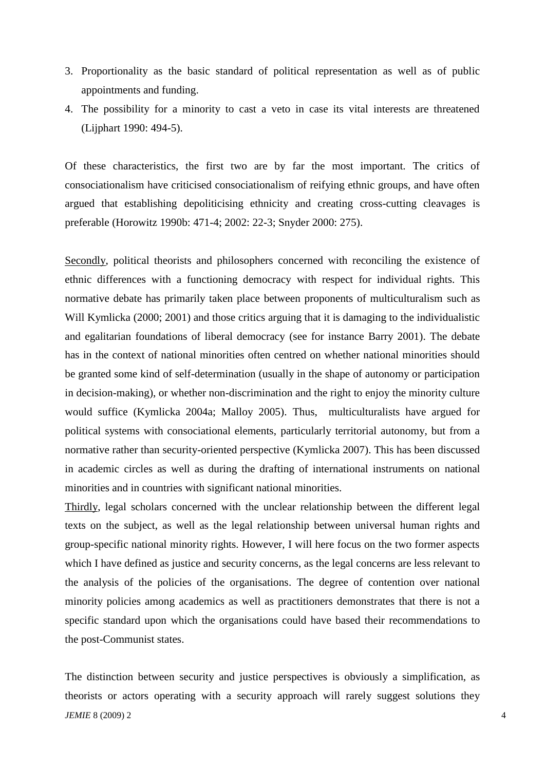- 3. Proportionality as the basic standard of political representation as well as of public appointments and funding.
- 4. The possibility for a minority to cast a veto in case its vital interests are threatened (Lijphart 1990: 494-5).

Of these characteristics, the first two are by far the most important. The critics of consociationalism have criticised consociationalism of reifying ethnic groups, and have often argued that establishing depoliticising ethnicity and creating cross-cutting cleavages is preferable (Horowitz 1990b: 471-4; 2002: 22-3; Snyder 2000: 275).

Secondly, political theorists and philosophers concerned with reconciling the existence of ethnic differences with a functioning democracy with respect for individual rights. This normative debate has primarily taken place between proponents of multiculturalism such as Will Kymlicka (2000; 2001) and those critics arguing that it is damaging to the individualistic and egalitarian foundations of liberal democracy (see for instance Barry 2001). The debate has in the context of national minorities often centred on whether national minorities should be granted some kind of self-determination (usually in the shape of autonomy or participation in decision-making), or whether non-discrimination and the right to enjoy the minority culture would suffice (Kymlicka 2004a; Malloy 2005). Thus, multiculturalists have argued for political systems with consociational elements, particularly territorial autonomy, but from a normative rather than security-oriented perspective (Kymlicka 2007). This has been discussed in academic circles as well as during the drafting of international instruments on national minorities and in countries with significant national minorities.

Thirdly, legal scholars concerned with the unclear relationship between the different legal texts on the subject, as well as the legal relationship between universal human rights and group-specific national minority rights. However, I will here focus on the two former aspects which I have defined as justice and security concerns, as the legal concerns are less relevant to the analysis of the policies of the organisations. The degree of contention over national minority policies among academics as well as practitioners demonstrates that there is not a specific standard upon which the organisations could have based their recommendations to the post-Communist states.

*JEMIE* 8 (2009) 2 4 The distinction between security and justice perspectives is obviously a simplification, as theorists or actors operating with a security approach will rarely suggest solutions they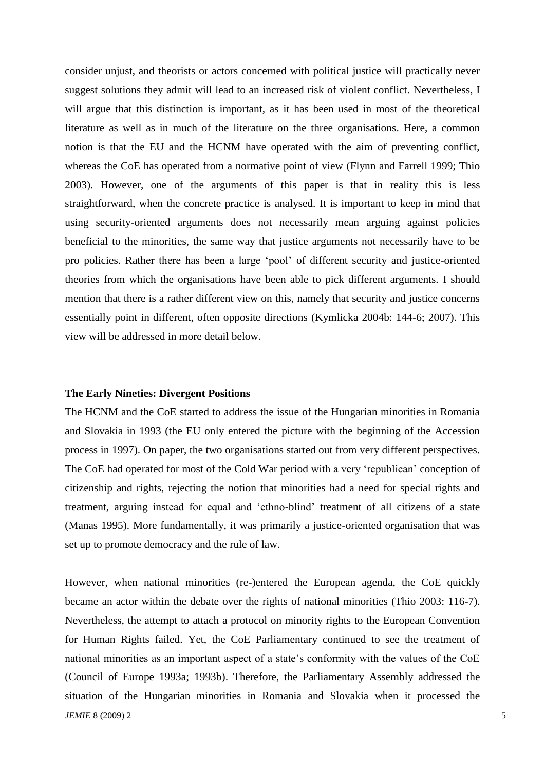consider unjust, and theorists or actors concerned with political justice will practically never suggest solutions they admit will lead to an increased risk of violent conflict. Nevertheless, I will argue that this distinction is important, as it has been used in most of the theoretical literature as well as in much of the literature on the three organisations. Here, a common notion is that the EU and the HCNM have operated with the aim of preventing conflict, whereas the CoE has operated from a normative point of view (Flynn and Farrell 1999; Thio 2003). However, one of the arguments of this paper is that in reality this is less straightforward, when the concrete practice is analysed. It is important to keep in mind that using security-oriented arguments does not necessarily mean arguing against policies beneficial to the minorities, the same way that justice arguments not necessarily have to be pro policies. Rather there has been a large "pool" of different security and justice-oriented theories from which the organisations have been able to pick different arguments. I should mention that there is a rather different view on this, namely that security and justice concerns essentially point in different, often opposite directions (Kymlicka 2004b: 144-6; 2007). This view will be addressed in more detail below.

#### **The Early Nineties: Divergent Positions**

The HCNM and the CoE started to address the issue of the Hungarian minorities in Romania and Slovakia in 1993 (the EU only entered the picture with the beginning of the Accession process in 1997). On paper, the two organisations started out from very different perspectives. The CoE had operated for most of the Cold War period with a very "republican" conception of citizenship and rights, rejecting the notion that minorities had a need for special rights and treatment, arguing instead for equal and "ethno-blind" treatment of all citizens of a state (Manas 1995). More fundamentally, it was primarily a justice-oriented organisation that was set up to promote democracy and the rule of law.

*JEMIE* 8 (2009) 2 5 However, when national minorities (re-)entered the European agenda, the CoE quickly became an actor within the debate over the rights of national minorities (Thio 2003: 116-7). Nevertheless, the attempt to attach a protocol on minority rights to the European Convention for Human Rights failed. Yet, the CoE Parliamentary continued to see the treatment of national minorities as an important aspect of a state"s conformity with the values of the CoE (Council of Europe 1993a; 1993b). Therefore, the Parliamentary Assembly addressed the situation of the Hungarian minorities in Romania and Slovakia when it processed the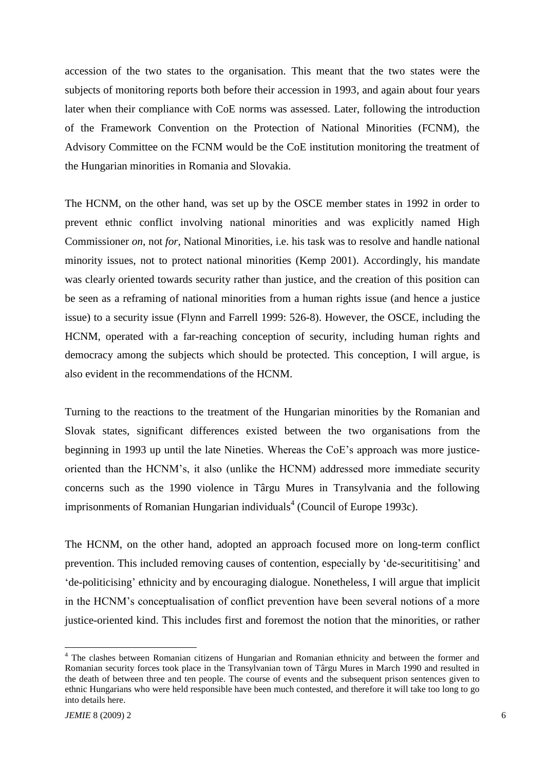accession of the two states to the organisation. This meant that the two states were the subjects of monitoring reports both before their accession in 1993, and again about four years later when their compliance with CoE norms was assessed. Later, following the introduction of the Framework Convention on the Protection of National Minorities (FCNM), the Advisory Committee on the FCNM would be the CoE institution monitoring the treatment of the Hungarian minorities in Romania and Slovakia.

The HCNM, on the other hand, was set up by the OSCE member states in 1992 in order to prevent ethnic conflict involving national minorities and was explicitly named High Commissioner *on*, not *for*, National Minorities, i.e. his task was to resolve and handle national minority issues, not to protect national minorities (Kemp 2001). Accordingly, his mandate was clearly oriented towards security rather than justice, and the creation of this position can be seen as a reframing of national minorities from a human rights issue (and hence a justice issue) to a security issue (Flynn and Farrell 1999: 526-8). However, the OSCE, including the HCNM, operated with a far-reaching conception of security, including human rights and democracy among the subjects which should be protected. This conception, I will argue, is also evident in the recommendations of the HCNM.

Turning to the reactions to the treatment of the Hungarian minorities by the Romanian and Slovak states, significant differences existed between the two organisations from the beginning in 1993 up until the late Nineties. Whereas the CoE"s approach was more justiceoriented than the HCNM"s, it also (unlike the HCNM) addressed more immediate security concerns such as the 1990 violence in Târgu Mures in Transylvania and the following imprisonments of Romanian Hungarian individuals<sup>4</sup> (Council of Europe 1993c).

The HCNM, on the other hand, adopted an approach focused more on long-term conflict prevention. This included removing causes of contention, especially by "de-securititising" and "de-politicising" ethnicity and by encouraging dialogue. Nonetheless, I will argue that implicit in the HCNM"s conceptualisation of conflict prevention have been several notions of a more justice-oriented kind. This includes first and foremost the notion that the minorities, or rather

<sup>&</sup>lt;sup>4</sup> The clashes between Romanian citizens of Hungarian and Romanian ethnicity and between the former and Romanian security forces took place in the Transylvanian town of Târgu Mures in March 1990 and resulted in the death of between three and ten people. The course of events and the subsequent prison sentences given to ethnic Hungarians who were held responsible have been much contested, and therefore it will take too long to go into details here.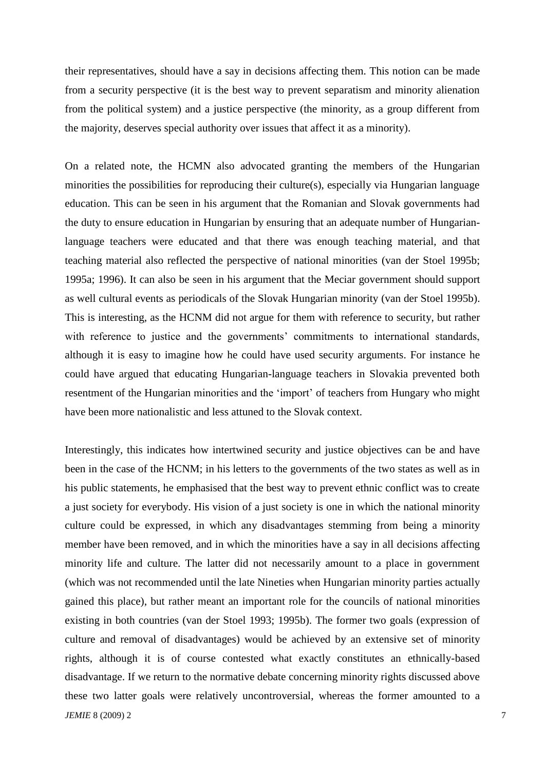their representatives, should have a say in decisions affecting them. This notion can be made from a security perspective (it is the best way to prevent separatism and minority alienation from the political system) and a justice perspective (the minority, as a group different from the majority, deserves special authority over issues that affect it as a minority).

On a related note, the HCMN also advocated granting the members of the Hungarian minorities the possibilities for reproducing their culture(s), especially via Hungarian language education. This can be seen in his argument that the Romanian and Slovak governments had the duty to ensure education in Hungarian by ensuring that an adequate number of Hungarianlanguage teachers were educated and that there was enough teaching material, and that teaching material also reflected the perspective of national minorities (van der Stoel 1995b; 1995a; 1996). It can also be seen in his argument that the Meciar government should support as well cultural events as periodicals of the Slovak Hungarian minority (van der Stoel 1995b). This is interesting, as the HCNM did not argue for them with reference to security, but rather with reference to justice and the governments' commitments to international standards, although it is easy to imagine how he could have used security arguments. For instance he could have argued that educating Hungarian-language teachers in Slovakia prevented both resentment of the Hungarian minorities and the "import" of teachers from Hungary who might have been more nationalistic and less attuned to the Slovak context.

*JEMIE* 8 (2009) 2 7 Interestingly, this indicates how intertwined security and justice objectives can be and have been in the case of the HCNM; in his letters to the governments of the two states as well as in his public statements, he emphasised that the best way to prevent ethnic conflict was to create a just society for everybody. His vision of a just society is one in which the national minority culture could be expressed, in which any disadvantages stemming from being a minority member have been removed, and in which the minorities have a say in all decisions affecting minority life and culture. The latter did not necessarily amount to a place in government (which was not recommended until the late Nineties when Hungarian minority parties actually gained this place), but rather meant an important role for the councils of national minorities existing in both countries (van der Stoel 1993; 1995b). The former two goals (expression of culture and removal of disadvantages) would be achieved by an extensive set of minority rights, although it is of course contested what exactly constitutes an ethnically-based disadvantage. If we return to the normative debate concerning minority rights discussed above these two latter goals were relatively uncontroversial, whereas the former amounted to a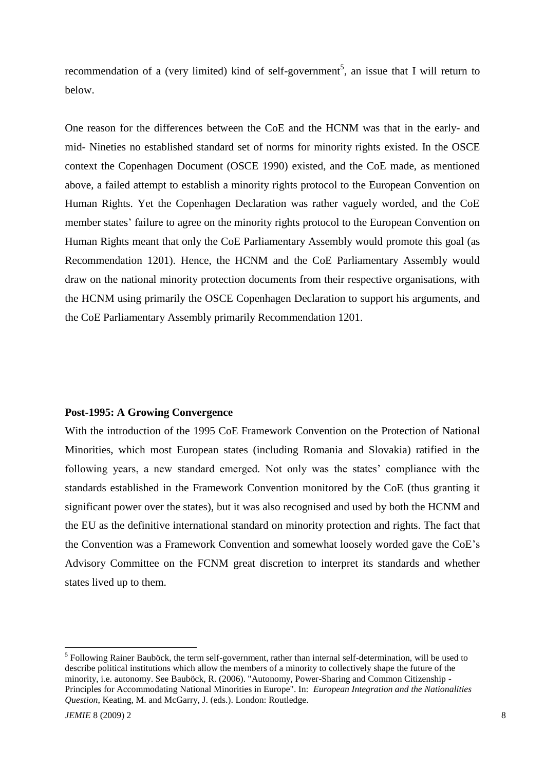recommendation of a (very limited) kind of self-government<sup>5</sup>, an issue that I will return to below.

One reason for the differences between the CoE and the HCNM was that in the early- and mid- Nineties no established standard set of norms for minority rights existed. In the OSCE context the Copenhagen Document (OSCE 1990) existed, and the CoE made, as mentioned above, a failed attempt to establish a minority rights protocol to the European Convention on Human Rights. Yet the Copenhagen Declaration was rather vaguely worded, and the CoE member states' failure to agree on the minority rights protocol to the European Convention on Human Rights meant that only the CoE Parliamentary Assembly would promote this goal (as Recommendation 1201). Hence, the HCNM and the CoE Parliamentary Assembly would draw on the national minority protection documents from their respective organisations, with the HCNM using primarily the OSCE Copenhagen Declaration to support his arguments, and the CoE Parliamentary Assembly primarily Recommendation 1201.

#### **Post-1995: A Growing Convergence**

With the introduction of the 1995 CoE Framework Convention on the Protection of National Minorities, which most European states (including Romania and Slovakia) ratified in the following years, a new standard emerged. Not only was the states" compliance with the standards established in the Framework Convention monitored by the CoE (thus granting it significant power over the states), but it was also recognised and used by both the HCNM and the EU as the definitive international standard on minority protection and rights. The fact that the Convention was a Framework Convention and somewhat loosely worded gave the CoE"s Advisory Committee on the FCNM great discretion to interpret its standards and whether states lived up to them.

<sup>&</sup>lt;sup>5</sup> Following Rainer Bauböck, the term self-government, rather than internal self-determination, will be used to describe political institutions which allow the members of a minority to collectively shape the future of the minority, i.e. autonomy. See Bauböck, R. (2006). "Autonomy, Power-Sharing and Common Citizenship - Principles for Accommodating National Minorities in Europe". In: *European Integration and the Nationalities Question*, Keating, M. and McGarry, J. (eds.). London: Routledge.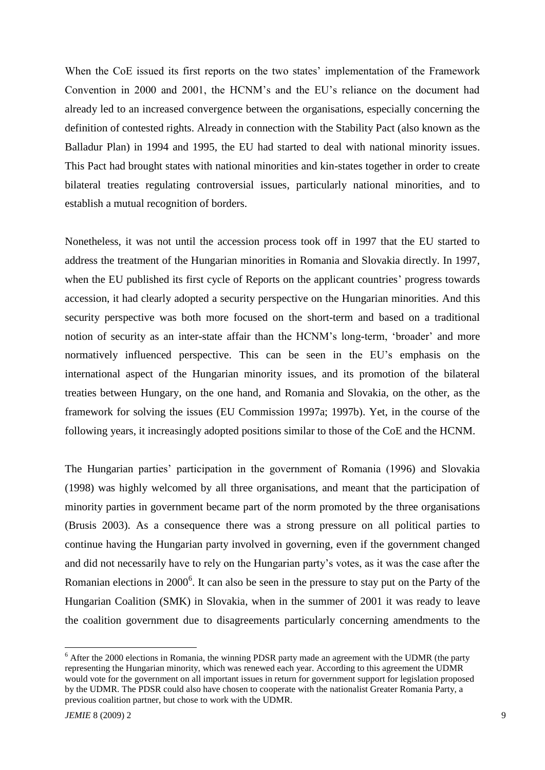When the CoE issued its first reports on the two states' implementation of the Framework Convention in 2000 and 2001, the HCNM"s and the EU"s reliance on the document had already led to an increased convergence between the organisations, especially concerning the definition of contested rights. Already in connection with the Stability Pact (also known as the Balladur Plan) in 1994 and 1995, the EU had started to deal with national minority issues. This Pact had brought states with national minorities and kin-states together in order to create bilateral treaties regulating controversial issues, particularly national minorities, and to establish a mutual recognition of borders.

Nonetheless, it was not until the accession process took off in 1997 that the EU started to address the treatment of the Hungarian minorities in Romania and Slovakia directly. In 1997, when the EU published its first cycle of Reports on the applicant countries' progress towards accession, it had clearly adopted a security perspective on the Hungarian minorities. And this security perspective was both more focused on the short-term and based on a traditional notion of security as an inter-state affair than the HCNM"s long-term, "broader" and more normatively influenced perspective. This can be seen in the EU's emphasis on the international aspect of the Hungarian minority issues, and its promotion of the bilateral treaties between Hungary, on the one hand, and Romania and Slovakia, on the other, as the framework for solving the issues (EU Commission 1997a; 1997b). Yet, in the course of the following years, it increasingly adopted positions similar to those of the CoE and the HCNM.

The Hungarian parties" participation in the government of Romania (1996) and Slovakia (1998) was highly welcomed by all three organisations, and meant that the participation of minority parties in government became part of the norm promoted by the three organisations (Brusis 2003). As a consequence there was a strong pressure on all political parties to continue having the Hungarian party involved in governing, even if the government changed and did not necessarily have to rely on the Hungarian party"s votes, as it was the case after the Romanian elections in 2000<sup>6</sup>. It can also be seen in the pressure to stay put on the Party of the Hungarian Coalition (SMK) in Slovakia, when in the summer of 2001 it was ready to leave the coalition government due to disagreements particularly concerning amendments to the

<sup>&</sup>lt;sup>6</sup> After the 2000 elections in Romania, the winning PDSR party made an agreement with the UDMR (the party representing the Hungarian minority, which was renewed each year. According to this agreement the UDMR would vote for the government on all important issues in return for government support for legislation proposed by the UDMR. The PDSR could also have chosen to cooperate with the nationalist Greater Romania Party, a previous coalition partner, but chose to work with the UDMR.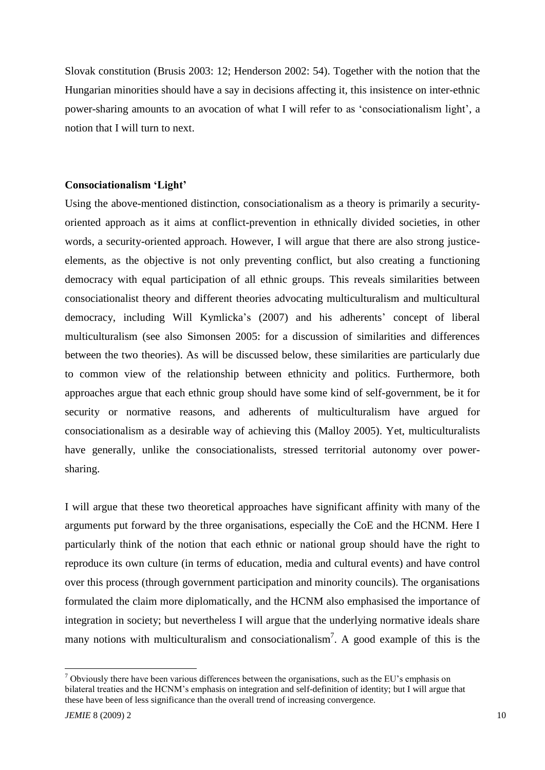Slovak constitution (Brusis 2003: 12; Henderson 2002: 54). Together with the notion that the Hungarian minorities should have a say in decisions affecting it, this insistence on inter-ethnic power-sharing amounts to an avocation of what I will refer to as "consociationalism light", a notion that I will turn to next.

#### **Consociationalism 'Light'**

Using the above-mentioned distinction, consociationalism as a theory is primarily a securityoriented approach as it aims at conflict-prevention in ethnically divided societies, in other words, a security-oriented approach. However, I will argue that there are also strong justiceelements, as the objective is not only preventing conflict, but also creating a functioning democracy with equal participation of all ethnic groups. This reveals similarities between consociationalist theory and different theories advocating multiculturalism and multicultural democracy, including Will Kymlicka"s (2007) and his adherents" concept of liberal multiculturalism (see also Simonsen 2005: for a discussion of similarities and differences between the two theories). As will be discussed below, these similarities are particularly due to common view of the relationship between ethnicity and politics. Furthermore, both approaches argue that each ethnic group should have some kind of self-government, be it for security or normative reasons, and adherents of multiculturalism have argued for consociationalism as a desirable way of achieving this (Malloy 2005). Yet, multiculturalists have generally, unlike the consociationalists, stressed territorial autonomy over powersharing.

I will argue that these two theoretical approaches have significant affinity with many of the arguments put forward by the three organisations, especially the CoE and the HCNM. Here I particularly think of the notion that each ethnic or national group should have the right to reproduce its own culture (in terms of education, media and cultural events) and have control over this process (through government participation and minority councils). The organisations formulated the claim more diplomatically, and the HCNM also emphasised the importance of integration in society; but nevertheless I will argue that the underlying normative ideals share many notions with multiculturalism and consociationalism<sup>7</sup>. A good example of this is the

 $7$  Obviously there have been various differences between the organisations, such as the EU's emphasis on bilateral treaties and the HCNM"s emphasis on integration and self-definition of identity; but I will argue that these have been of less significance than the overall trend of increasing convergence.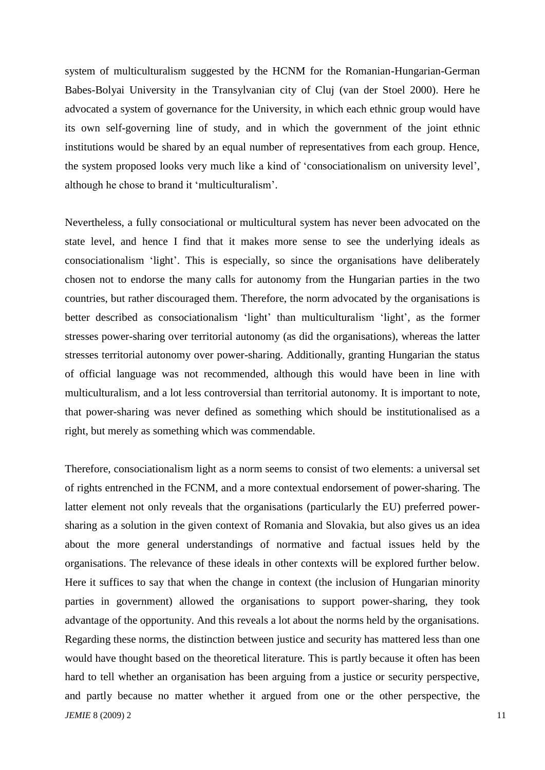system of multiculturalism suggested by the HCNM for the Romanian-Hungarian-German Babes-Bolyai University in the Transylvanian city of Cluj (van der Stoel 2000). Here he advocated a system of governance for the University, in which each ethnic group would have its own self-governing line of study, and in which the government of the joint ethnic institutions would be shared by an equal number of representatives from each group. Hence, the system proposed looks very much like a kind of "consociationalism on university level", although he chose to brand it "multiculturalism".

Nevertheless, a fully consociational or multicultural system has never been advocated on the state level, and hence I find that it makes more sense to see the underlying ideals as consociationalism "light". This is especially, so since the organisations have deliberately chosen not to endorse the many calls for autonomy from the Hungarian parties in the two countries, but rather discouraged them. Therefore, the norm advocated by the organisations is better described as consociationalism 'light' than multiculturalism 'light', as the former stresses power-sharing over territorial autonomy (as did the organisations), whereas the latter stresses territorial autonomy over power-sharing. Additionally, granting Hungarian the status of official language was not recommended, although this would have been in line with multiculturalism, and a lot less controversial than territorial autonomy. It is important to note, that power-sharing was never defined as something which should be institutionalised as a right, but merely as something which was commendable.

*JEMIE* 8 (2009) 2 11 Therefore, consociationalism light as a norm seems to consist of two elements: a universal set of rights entrenched in the FCNM, and a more contextual endorsement of power-sharing. The latter element not only reveals that the organisations (particularly the EU) preferred powersharing as a solution in the given context of Romania and Slovakia, but also gives us an idea about the more general understandings of normative and factual issues held by the organisations. The relevance of these ideals in other contexts will be explored further below. Here it suffices to say that when the change in context (the inclusion of Hungarian minority parties in government) allowed the organisations to support power-sharing, they took advantage of the opportunity. And this reveals a lot about the norms held by the organisations. Regarding these norms, the distinction between justice and security has mattered less than one would have thought based on the theoretical literature. This is partly because it often has been hard to tell whether an organisation has been arguing from a justice or security perspective, and partly because no matter whether it argued from one or the other perspective, the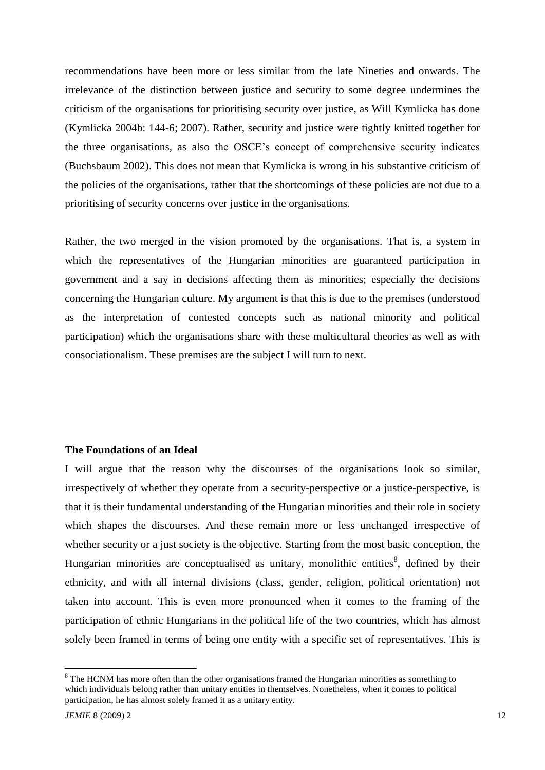recommendations have been more or less similar from the late Nineties and onwards. The irrelevance of the distinction between justice and security to some degree undermines the criticism of the organisations for prioritising security over justice, as Will Kymlicka has done (Kymlicka 2004b: 144-6; 2007). Rather, security and justice were tightly knitted together for the three organisations, as also the OSCE"s concept of comprehensive security indicates (Buchsbaum 2002). This does not mean that Kymlicka is wrong in his substantive criticism of the policies of the organisations, rather that the shortcomings of these policies are not due to a prioritising of security concerns over justice in the organisations.

Rather, the two merged in the vision promoted by the organisations. That is, a system in which the representatives of the Hungarian minorities are guaranteed participation in government and a say in decisions affecting them as minorities; especially the decisions concerning the Hungarian culture. My argument is that this is due to the premises (understood as the interpretation of contested concepts such as national minority and political participation) which the organisations share with these multicultural theories as well as with consociationalism. These premises are the subject I will turn to next.

#### **The Foundations of an Ideal**

I will argue that the reason why the discourses of the organisations look so similar, irrespectively of whether they operate from a security-perspective or a justice-perspective, is that it is their fundamental understanding of the Hungarian minorities and their role in society which shapes the discourses. And these remain more or less unchanged irrespective of whether security or a just society is the objective. Starting from the most basic conception, the Hungarian minorities are conceptualised as unitary, monolithic entities<sup>8</sup>, defined by their ethnicity, and with all internal divisions (class, gender, religion, political orientation) not taken into account. This is even more pronounced when it comes to the framing of the participation of ethnic Hungarians in the political life of the two countries, which has almost solely been framed in terms of being one entity with a specific set of representatives. This is

<sup>&</sup>lt;sup>8</sup> The HCNM has more often than the other organisations framed the Hungarian minorities as something to which individuals belong rather than unitary entities in themselves. Nonetheless, when it comes to political participation, he has almost solely framed it as a unitary entity.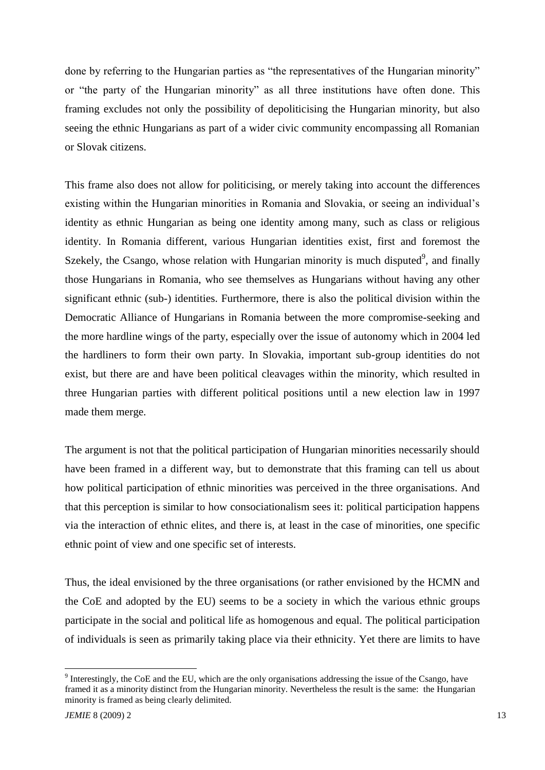done by referring to the Hungarian parties as "the representatives of the Hungarian minority" or "the party of the Hungarian minority" as all three institutions have often done. This framing excludes not only the possibility of depoliticising the Hungarian minority, but also seeing the ethnic Hungarians as part of a wider civic community encompassing all Romanian or Slovak citizens.

This frame also does not allow for politicising, or merely taking into account the differences existing within the Hungarian minorities in Romania and Slovakia, or seeing an individual"s identity as ethnic Hungarian as being one identity among many, such as class or religious identity. In Romania different, various Hungarian identities exist, first and foremost the Szekely, the Csango, whose relation with Hungarian minority is much disputed $\degree$ , and finally those Hungarians in Romania, who see themselves as Hungarians without having any other significant ethnic (sub-) identities. Furthermore, there is also the political division within the Democratic Alliance of Hungarians in Romania between the more compromise-seeking and the more hardline wings of the party, especially over the issue of autonomy which in 2004 led the hardliners to form their own party. In Slovakia, important sub-group identities do not exist, but there are and have been political cleavages within the minority, which resulted in three Hungarian parties with different political positions until a new election law in 1997 made them merge.

The argument is not that the political participation of Hungarian minorities necessarily should have been framed in a different way, but to demonstrate that this framing can tell us about how political participation of ethnic minorities was perceived in the three organisations. And that this perception is similar to how consociationalism sees it: political participation happens via the interaction of ethnic elites, and there is, at least in the case of minorities, one specific ethnic point of view and one specific set of interests.

Thus, the ideal envisioned by the three organisations (or rather envisioned by the HCMN and the CoE and adopted by the EU) seems to be a society in which the various ethnic groups participate in the social and political life as homogenous and equal. The political participation of individuals is seen as primarily taking place via their ethnicity. Yet there are limits to have

 $9$  Interestingly, the CoE and the EU, which are the only organisations addressing the issue of the Csango, have framed it as a minority distinct from the Hungarian minority. Nevertheless the result is the same: the Hungarian minority is framed as being clearly delimited.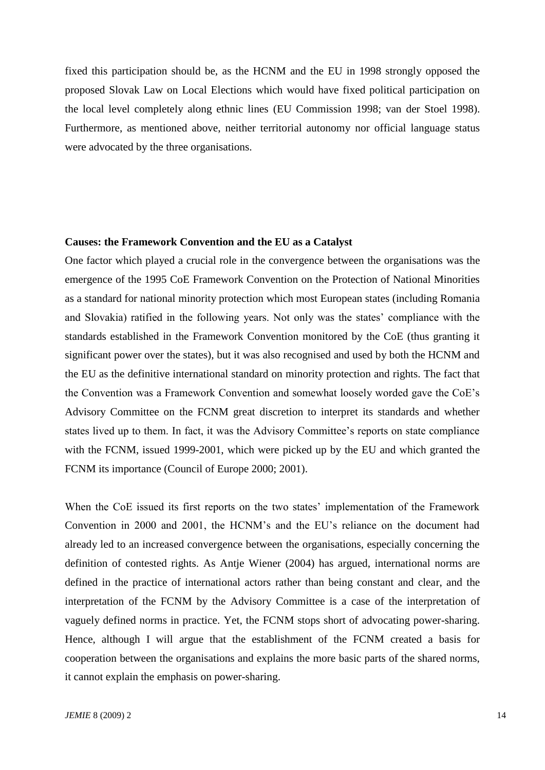fixed this participation should be, as the HCNM and the EU in 1998 strongly opposed the proposed Slovak Law on Local Elections which would have fixed political participation on the local level completely along ethnic lines (EU Commission 1998; van der Stoel 1998). Furthermore, as mentioned above, neither territorial autonomy nor official language status were advocated by the three organisations.

## **Causes: the Framework Convention and the EU as a Catalyst**

One factor which played a crucial role in the convergence between the organisations was the emergence of the 1995 CoE Framework Convention on the Protection of National Minorities as a standard for national minority protection which most European states (including Romania and Slovakia) ratified in the following years. Not only was the states" compliance with the standards established in the Framework Convention monitored by the CoE (thus granting it significant power over the states), but it was also recognised and used by both the HCNM and the EU as the definitive international standard on minority protection and rights. The fact that the Convention was a Framework Convention and somewhat loosely worded gave the CoE"s Advisory Committee on the FCNM great discretion to interpret its standards and whether states lived up to them. In fact, it was the Advisory Committee"s reports on state compliance with the FCNM, issued 1999-2001, which were picked up by the EU and which granted the FCNM its importance (Council of Europe 2000; 2001).

When the CoE issued its first reports on the two states' implementation of the Framework Convention in 2000 and 2001, the HCNM"s and the EU"s reliance on the document had already led to an increased convergence between the organisations, especially concerning the definition of contested rights. As Antje Wiener (2004) has argued, international norms are defined in the practice of international actors rather than being constant and clear, and the interpretation of the FCNM by the Advisory Committee is a case of the interpretation of vaguely defined norms in practice. Yet, the FCNM stops short of advocating power-sharing. Hence, although I will argue that the establishment of the FCNM created a basis for cooperation between the organisations and explains the more basic parts of the shared norms, it cannot explain the emphasis on power-sharing.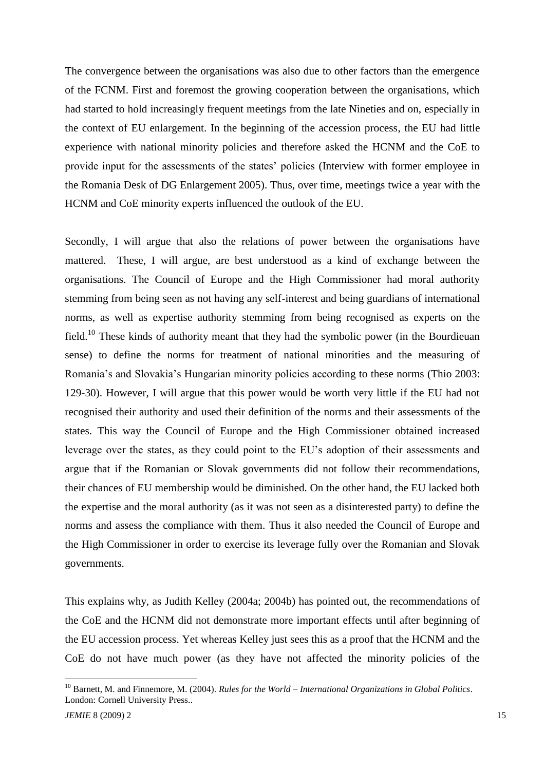The convergence between the organisations was also due to other factors than the emergence of the FCNM. First and foremost the growing cooperation between the organisations, which had started to hold increasingly frequent meetings from the late Nineties and on, especially in the context of EU enlargement. In the beginning of the accession process, the EU had little experience with national minority policies and therefore asked the HCNM and the CoE to provide input for the assessments of the states" policies (Interview with former employee in the Romania Desk of DG Enlargement 2005). Thus, over time, meetings twice a year with the HCNM and CoE minority experts influenced the outlook of the EU.

Secondly, I will argue that also the relations of power between the organisations have mattered. These, I will argue, are best understood as a kind of exchange between the organisations. The Council of Europe and the High Commissioner had moral authority stemming from being seen as not having any self-interest and being guardians of international norms, as well as expertise authority stemming from being recognised as experts on the field.<sup>10</sup> These kinds of authority meant that they had the symbolic power (in the Bourdieuan sense) to define the norms for treatment of national minorities and the measuring of Romania's and Slovakia's Hungarian minority policies according to these norms (Thio 2003: 129-30). However, I will argue that this power would be worth very little if the EU had not recognised their authority and used their definition of the norms and their assessments of the states. This way the Council of Europe and the High Commissioner obtained increased leverage over the states, as they could point to the EU"s adoption of their assessments and argue that if the Romanian or Slovak governments did not follow their recommendations, their chances of EU membership would be diminished. On the other hand, the EU lacked both the expertise and the moral authority (as it was not seen as a disinterested party) to define the norms and assess the compliance with them. Thus it also needed the Council of Europe and the High Commissioner in order to exercise its leverage fully over the Romanian and Slovak governments.

This explains why, as Judith Kelley (2004a; 2004b) has pointed out, the recommendations of the CoE and the HCNM did not demonstrate more important effects until after beginning of the EU accession process. Yet whereas Kelley just sees this as a proof that the HCNM and the CoE do not have much power (as they have not affected the minority policies of the

<sup>10</sup> Barnett, M. and Finnemore, M. (2004). *Rules for the World – International Organizations in Global Politics*. London: Cornell University Press..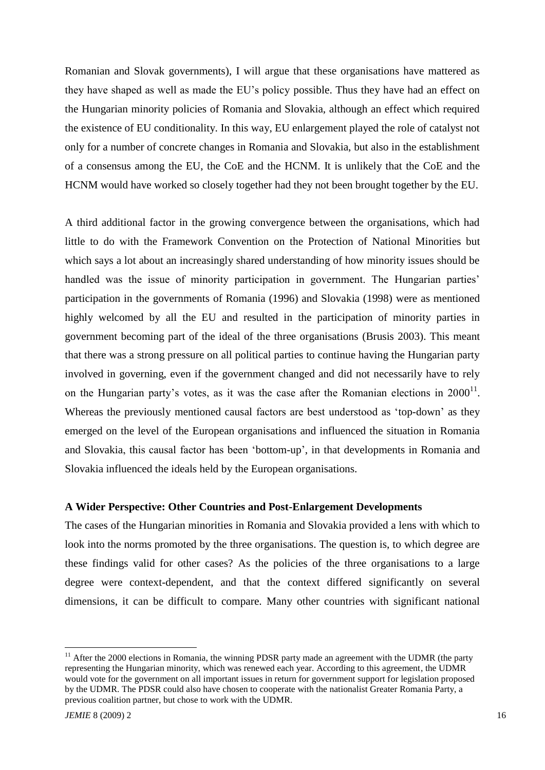Romanian and Slovak governments), I will argue that these organisations have mattered as they have shaped as well as made the EU"s policy possible. Thus they have had an effect on the Hungarian minority policies of Romania and Slovakia, although an effect which required the existence of EU conditionality. In this way, EU enlargement played the role of catalyst not only for a number of concrete changes in Romania and Slovakia, but also in the establishment of a consensus among the EU, the CoE and the HCNM. It is unlikely that the CoE and the HCNM would have worked so closely together had they not been brought together by the EU.

A third additional factor in the growing convergence between the organisations, which had little to do with the Framework Convention on the Protection of National Minorities but which says a lot about an increasingly shared understanding of how minority issues should be handled was the issue of minority participation in government. The Hungarian parties' participation in the governments of Romania (1996) and Slovakia (1998) were as mentioned highly welcomed by all the EU and resulted in the participation of minority parties in government becoming part of the ideal of the three organisations (Brusis 2003). This meant that there was a strong pressure on all political parties to continue having the Hungarian party involved in governing, even if the government changed and did not necessarily have to rely on the Hungarian party's votes, as it was the case after the Romanian elections in  $2000<sup>11</sup>$ . Whereas the previously mentioned causal factors are best understood as 'top-down' as they emerged on the level of the European organisations and influenced the situation in Romania and Slovakia, this causal factor has been "bottom-up", in that developments in Romania and Slovakia influenced the ideals held by the European organisations.

# **A Wider Perspective: Other Countries and Post-Enlargement Developments**

The cases of the Hungarian minorities in Romania and Slovakia provided a lens with which to look into the norms promoted by the three organisations. The question is, to which degree are these findings valid for other cases? As the policies of the three organisations to a large degree were context-dependent, and that the context differed significantly on several dimensions, it can be difficult to compare. Many other countries with significant national

 $11$  After the 2000 elections in Romania, the winning PDSR party made an agreement with the UDMR (the party representing the Hungarian minority, which was renewed each year. According to this agreement, the UDMR would vote for the government on all important issues in return for government support for legislation proposed by the UDMR. The PDSR could also have chosen to cooperate with the nationalist Greater Romania Party, a previous coalition partner, but chose to work with the UDMR.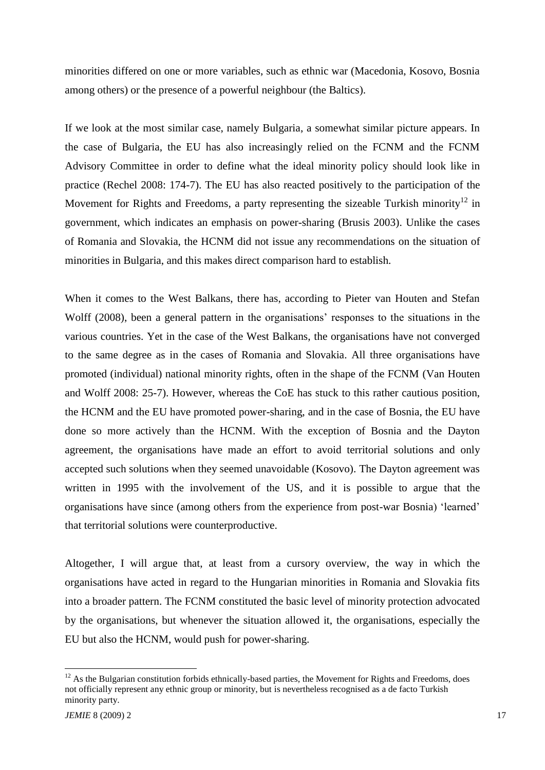minorities differed on one or more variables, such as ethnic war (Macedonia, Kosovo, Bosnia among others) or the presence of a powerful neighbour (the Baltics).

If we look at the most similar case, namely Bulgaria, a somewhat similar picture appears. In the case of Bulgaria, the EU has also increasingly relied on the FCNM and the FCNM Advisory Committee in order to define what the ideal minority policy should look like in practice (Rechel 2008: 174-7). The EU has also reacted positively to the participation of the Movement for Rights and Freedoms, a party representing the sizeable Turkish minority<sup>12</sup> in government, which indicates an emphasis on power-sharing (Brusis 2003). Unlike the cases of Romania and Slovakia, the HCNM did not issue any recommendations on the situation of minorities in Bulgaria, and this makes direct comparison hard to establish.

When it comes to the West Balkans, there has, according to Pieter van Houten and Stefan Wolff (2008), been a general pattern in the organisations' responses to the situations in the various countries. Yet in the case of the West Balkans, the organisations have not converged to the same degree as in the cases of Romania and Slovakia. All three organisations have promoted (individual) national minority rights, often in the shape of the FCNM (Van Houten and Wolff 2008: 25-7). However, whereas the CoE has stuck to this rather cautious position, the HCNM and the EU have promoted power-sharing, and in the case of Bosnia, the EU have done so more actively than the HCNM. With the exception of Bosnia and the Dayton agreement, the organisations have made an effort to avoid territorial solutions and only accepted such solutions when they seemed unavoidable (Kosovo). The Dayton agreement was written in 1995 with the involvement of the US, and it is possible to argue that the organisations have since (among others from the experience from post-war Bosnia) "learned" that territorial solutions were counterproductive.

Altogether, I will argue that, at least from a cursory overview, the way in which the organisations have acted in regard to the Hungarian minorities in Romania and Slovakia fits into a broader pattern. The FCNM constituted the basic level of minority protection advocated by the organisations, but whenever the situation allowed it, the organisations, especially the EU but also the HCNM, would push for power-sharing.

<sup>&</sup>lt;sup>12</sup> As the Bulgarian constitution forbids ethnically-based parties, the Movement for Rights and Freedoms, does not officially represent any ethnic group or minority, but is nevertheless recognised as a de facto Turkish minority party.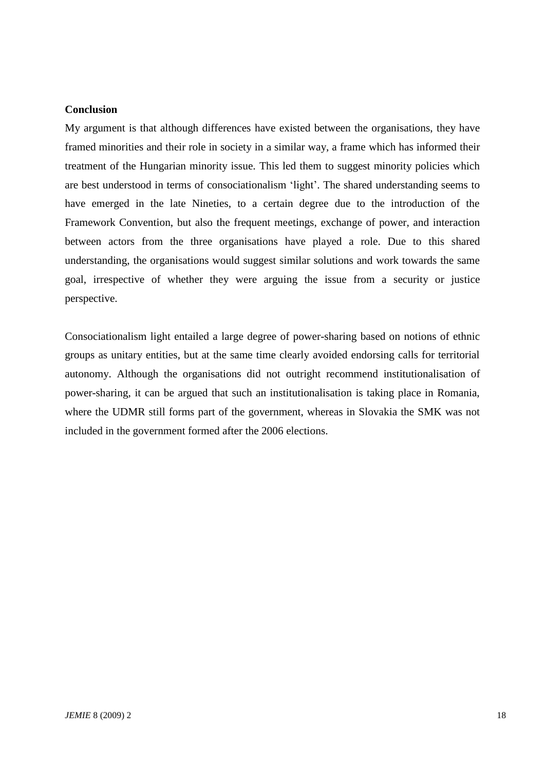# **Conclusion**

My argument is that although differences have existed between the organisations, they have framed minorities and their role in society in a similar way, a frame which has informed their treatment of the Hungarian minority issue. This led them to suggest minority policies which are best understood in terms of consociationalism "light". The shared understanding seems to have emerged in the late Nineties, to a certain degree due to the introduction of the Framework Convention, but also the frequent meetings, exchange of power, and interaction between actors from the three organisations have played a role. Due to this shared understanding, the organisations would suggest similar solutions and work towards the same goal, irrespective of whether they were arguing the issue from a security or justice perspective.

Consociationalism light entailed a large degree of power-sharing based on notions of ethnic groups as unitary entities, but at the same time clearly avoided endorsing calls for territorial autonomy. Although the organisations did not outright recommend institutionalisation of power-sharing, it can be argued that such an institutionalisation is taking place in Romania, where the UDMR still forms part of the government, whereas in Slovakia the SMK was not included in the government formed after the 2006 elections.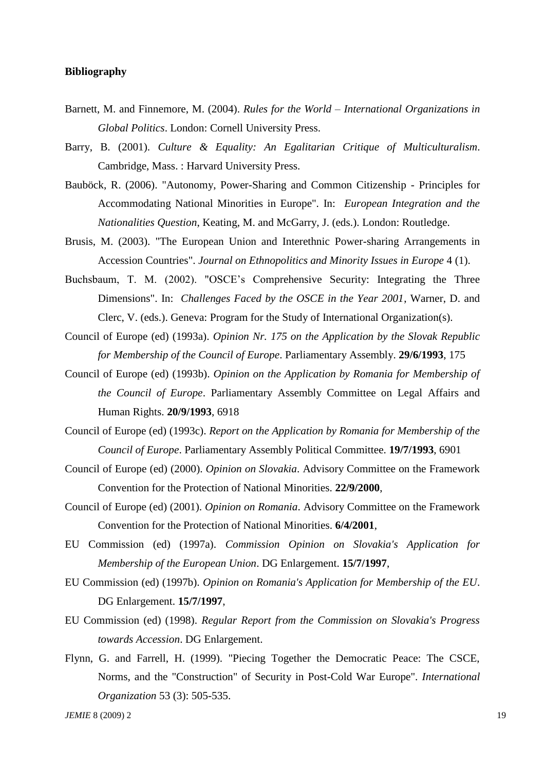## **Bibliography**

- Barnett, M. and Finnemore, M. (2004). *Rules for the World – International Organizations in Global Politics*. London: Cornell University Press.
- Barry, B. (2001). *Culture & Equality: An Egalitarian Critique of Multiculturalism*. Cambridge, Mass. : Harvard University Press.
- Bauböck, R. (2006). "Autonomy, Power-Sharing and Common Citizenship Principles for Accommodating National Minorities in Europe". In: *European Integration and the Nationalities Question*, Keating, M. and McGarry, J. (eds.). London: Routledge.
- Brusis, M. (2003). "The European Union and Interethnic Power-sharing Arrangements in Accession Countries". *Journal on Ethnopolitics and Minority Issues in Europe* 4 (1).
- Buchsbaum, T. M. (2002). "OSCE's Comprehensive Security: Integrating the Three Dimensions". In: *Challenges Faced by the OSCE in the Year 2001*, Warner, D. and Clerc, V. (eds.). Geneva: Program for the Study of International Organization(s).
- Council of Europe (ed) (1993a). *Opinion Nr. 175 on the Application by the Slovak Republic for Membership of the Council of Europe*. Parliamentary Assembly. **29/6/1993**, 175
- Council of Europe (ed) (1993b). *Opinion on the Application by Romania for Membership of the Council of Europe*. Parliamentary Assembly Committee on Legal Affairs and Human Rights. **20/9/1993**, 6918
- Council of Europe (ed) (1993c). *Report on the Application by Romania for Membership of the Council of Europe*. Parliamentary Assembly Political Committee. **19/7/1993**, 6901
- Council of Europe (ed) (2000). *Opinion on Slovakia*. Advisory Committee on the Framework Convention for the Protection of National Minorities. **22/9/2000**,
- Council of Europe (ed) (2001). *Opinion on Romania*. Advisory Committee on the Framework Convention for the Protection of National Minorities. **6/4/2001**,
- EU Commission (ed) (1997a). *Commission Opinion on Slovakia's Application for Membership of the European Union*. DG Enlargement. **15/7/1997**,
- EU Commission (ed) (1997b). *Opinion on Romania's Application for Membership of the EU*. DG Enlargement. **15/7/1997**,
- EU Commission (ed) (1998). *Regular Report from the Commission on Slovakia's Progress towards Accession*. DG Enlargement.
- Flynn, G. and Farrell, H. (1999). "Piecing Together the Democratic Peace: The CSCE, Norms, and the "Construction" of Security in Post-Cold War Europe". *International Organization* 53 (3): 505-535.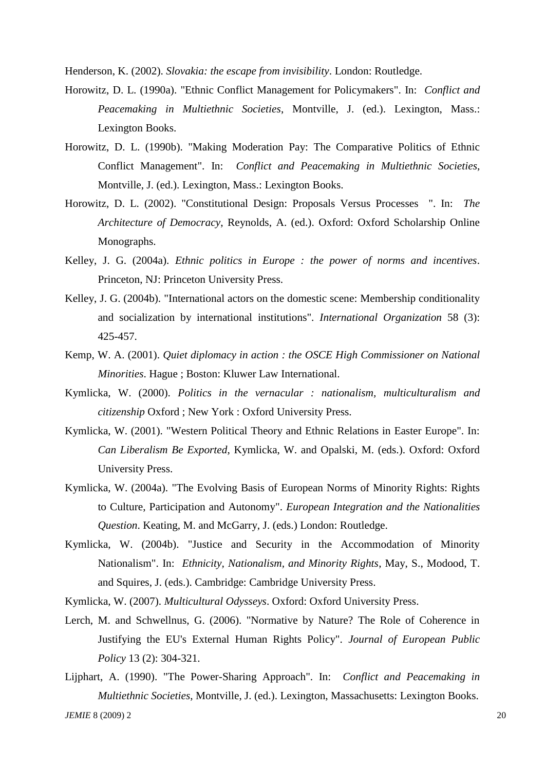Henderson, K. (2002). *Slovakia: the escape from invisibility*. London: Routledge.

- Horowitz, D. L. (1990a). "Ethnic Conflict Management for Policymakers". In: *Conflict and Peacemaking in Multiethnic Societies*, Montville, J. (ed.). Lexington, Mass.: Lexington Books.
- Horowitz, D. L. (1990b). "Making Moderation Pay: The Comparative Politics of Ethnic Conflict Management". In: *Conflict and Peacemaking in Multiethnic Societies*, Montville, J. (ed.). Lexington, Mass.: Lexington Books.
- Horowitz, D. L. (2002). "Constitutional Design: Proposals Versus Processes ". In: *The Architecture of Democracy*, Reynolds, A. (ed.). Oxford: Oxford Scholarship Online Monographs.
- Kelley, J. G. (2004a). *Ethnic politics in Europe : the power of norms and incentives*. Princeton, NJ: Princeton University Press.
- Kelley, J. G. (2004b). "International actors on the domestic scene: Membership conditionality and socialization by international institutions". *International Organization* 58 (3): 425-457.
- Kemp, W. A. (2001). *Quiet diplomacy in action : the OSCE High Commissioner on National Minorities*. Hague ; Boston: Kluwer Law International.
- Kymlicka, W. (2000). *Politics in the vernacular : nationalism, multiculturalism and citizenship* Oxford ; New York : Oxford University Press.
- Kymlicka, W. (2001). "Western Political Theory and Ethnic Relations in Easter Europe". In: *Can Liberalism Be Exported*, Kymlicka, W. and Opalski, M. (eds.). Oxford: Oxford University Press.
- Kymlicka, W. (2004a). "The Evolving Basis of European Norms of Minority Rights: Rights to Culture, Participation and Autonomy". *European Integration and the Nationalities Question*. Keating, M. and McGarry, J. (eds.) London: Routledge.
- Kymlicka, W. (2004b). "Justice and Security in the Accommodation of Minority Nationalism". In: *Ethnicity, Nationalism, and Minority Rights*, May, S., Modood, T. and Squires, J. (eds.). Cambridge: Cambridge University Press.

Kymlicka, W. (2007). *Multicultural Odysseys*. Oxford: Oxford University Press.

- Lerch, M. and Schwellnus, G. (2006). "Normative by Nature? The Role of Coherence in Justifying the EU's External Human Rights Policy". *Journal of European Public Policy* 13 (2): 304-321.
- *JEMIE* 8 (2009) 2 20 Lijphart, A. (1990). "The Power-Sharing Approach". In: *Conflict and Peacemaking in Multiethnic Societies*, Montville, J. (ed.). Lexington, Massachusetts: Lexington Books.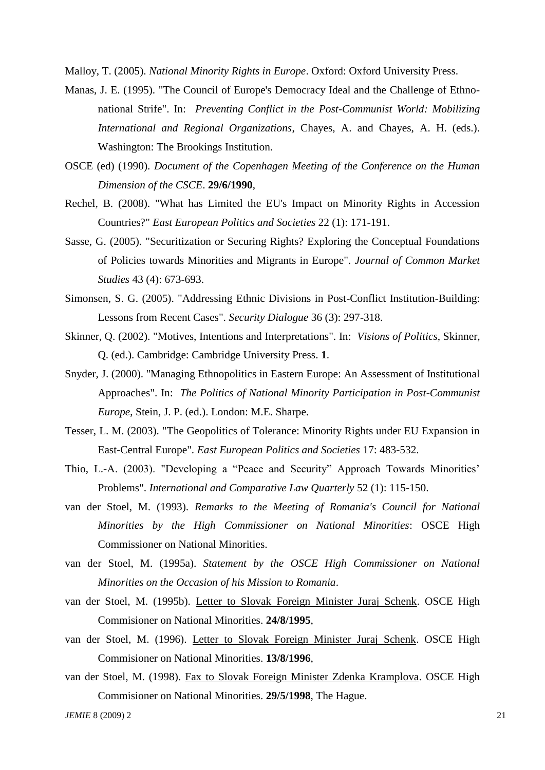Malloy, T. (2005). *National Minority Rights in Europe*. Oxford: Oxford University Press.

- Manas, J. E. (1995). "The Council of Europe's Democracy Ideal and the Challenge of Ethnonational Strife". In: *Preventing Conflict in the Post-Communist World: Mobilizing International and Regional Organizations*, Chayes, A. and Chayes, A. H. (eds.). Washington: The Brookings Institution.
- OSCE (ed) (1990). *Document of the Copenhagen Meeting of the Conference on the Human Dimension of the CSCE*. **29/6/1990**,
- Rechel, B. (2008). "What has Limited the EU's Impact on Minority Rights in Accession Countries?" *East European Politics and Societies* 22 (1): 171-191.
- Sasse, G. (2005). "Securitization or Securing Rights? Exploring the Conceptual Foundations of Policies towards Minorities and Migrants in Europe". *Journal of Common Market Studies* 43 (4): 673-693.
- Simonsen, S. G. (2005). "Addressing Ethnic Divisions in Post-Conflict Institution-Building: Lessons from Recent Cases". *Security Dialogue* 36 (3): 297-318.
- Skinner, Q. (2002). "Motives, Intentions and Interpretations". In: *Visions of Politics*, Skinner, Q. (ed.). Cambridge: Cambridge University Press. **1**.
- Snyder, J. (2000). "Managing Ethnopolitics in Eastern Europe: An Assessment of Institutional Approaches". In: *The Politics of National Minority Participation in Post-Communist Europe*, Stein, J. P. (ed.). London: M.E. Sharpe.
- Tesser, L. M. (2003). "The Geopolitics of Tolerance: Minority Rights under EU Expansion in East-Central Europe". *East European Politics and Societies* 17: 483-532.
- Thio, L.-A. (2003). "Developing a "Peace and Security" Approach Towards Minorities" Problems". *International and Comparative Law Quarterly* 52 (1): 115-150.
- van der Stoel, M. (1993). *Remarks to the Meeting of Romania's Council for National Minorities by the High Commissioner on National Minorities*: OSCE High Commissioner on National Minorities.
- van der Stoel, M. (1995a). *Statement by the OSCE High Commissioner on National Minorities on the Occasion of his Mission to Romania*.
- van der Stoel, M. (1995b). Letter to Slovak Foreign Minister Juraj Schenk. OSCE High Commisioner on National Minorities. **24/8/1995**,
- van der Stoel, M. (1996). Letter to Slovak Foreign Minister Juraj Schenk. OSCE High Commisioner on National Minorities. **13/8/1996**,
- van der Stoel, M. (1998). Fax to Slovak Foreign Minister Zdenka Kramplova. OSCE High Commisioner on National Minorities. **29/5/1998**, The Hague.

*JEMIE* 8 (2009) 2 21